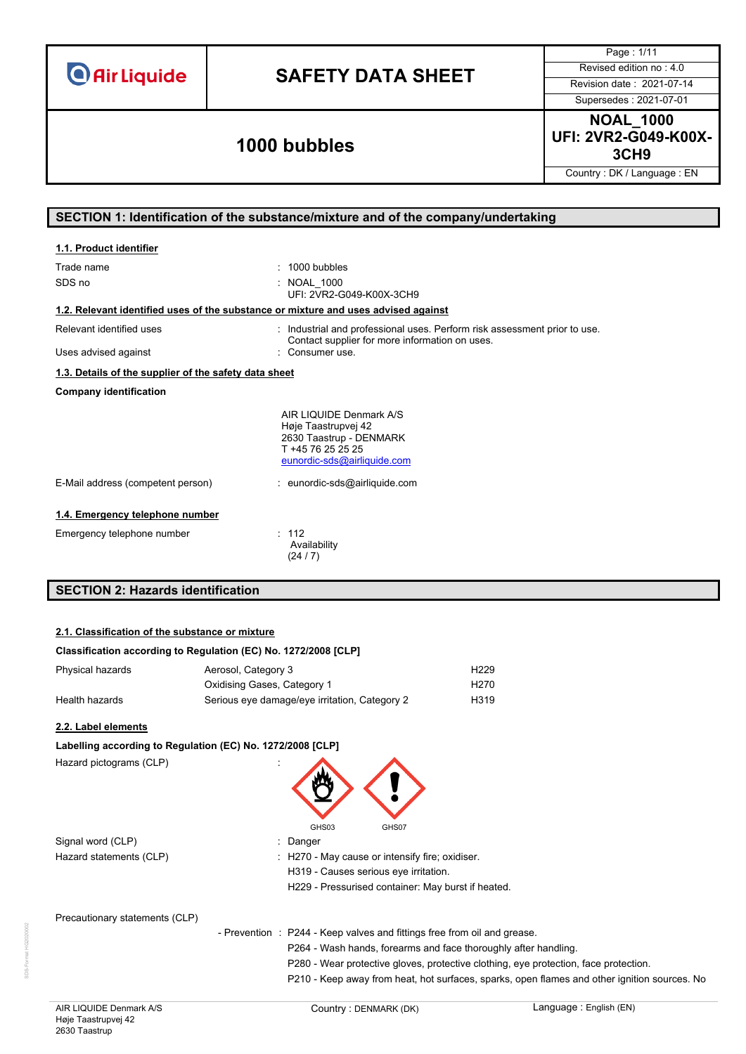# **SAFETY DATA SHEET** Revised edition no : 4.0

Page : 1/11

Supersedes : 2021-07-01

### **3CH9 1000 bubbles**

**NOAL\_1000 UFI: 2VR2-G049-K00X-**

Country : DK / Language : EN

#### **SECTION 1: Identification of the substance/mixture and of the company/undertaking**

| 1.1. Product identifier                                                            |                                                                                                                                                                |
|------------------------------------------------------------------------------------|----------------------------------------------------------------------------------------------------------------------------------------------------------------|
| Trade name<br>SDS no                                                               | $: 1000$ bubbles<br>: NOAL 1000<br>UFI: 2VR2-G049-K00X-3CH9                                                                                                    |
| 1.2. Relevant identified uses of the substance or mixture and uses advised against |                                                                                                                                                                |
| Relevant identified uses<br>Uses advised against                                   | : Industrial and professional uses. Perform risk assessment prior to use.<br>Contact supplier for more information on uses.<br>Consumer use.                   |
| 1.3. Details of the supplier of the safety data sheet                              |                                                                                                                                                                |
| <b>Company identification</b>                                                      |                                                                                                                                                                |
| E-Mail address (competent person)                                                  | AIR LIQUIDE Denmark A/S<br>Høje Taastrupvej 42<br>2630 Taastrup - DENMARK<br>T +45 76 25 25 25<br>eunordic-sds@airliquide.com<br>: eunordic-sds@airliquide.com |
| 1.4. Emergency telephone number                                                    |                                                                                                                                                                |
| Emergency telephone number                                                         | : 112<br>Availability<br>(24/7)                                                                                                                                |
| <b>SECTION 2: Hazards identification</b>                                           |                                                                                                                                                                |

#### **2.1. Classification of the substance or mixture**

| Classification according to Regulation (EC) No. 1272/2008 [CLP] |                                               |                   |
|-----------------------------------------------------------------|-----------------------------------------------|-------------------|
| Physical hazards                                                | Aerosol, Category 3                           | H <sub>229</sub>  |
|                                                                 | Oxidising Gases, Category 1                   | H <sub>270</sub>  |
| Health hazards                                                  | Serious eye damage/eye irritation, Category 2 | H <sub>3</sub> 19 |

#### **2.2. Label elements**

| Labelling according to Regulation (EC) No. 1272/2008 [CLP] |  |                                                                                      |  |
|------------------------------------------------------------|--|--------------------------------------------------------------------------------------|--|
| Hazard pictograms (CLP)                                    |  | GHS03<br>GHS07                                                                       |  |
| Signal word (CLP)                                          |  | : Danger                                                                             |  |
| Hazard statements (CLP)                                    |  | : H270 - May cause or intensify fire; oxidiser.                                      |  |
|                                                            |  | H319 - Causes serious eye irritation.                                                |  |
|                                                            |  | H229 - Pressurised container: May burst if heated.                                   |  |
| Precautionary statements (CLP)                             |  |                                                                                      |  |
|                                                            |  | - Prevention : P244 - Keep valves and fittings free from oil and grease.             |  |
|                                                            |  | P264 - Wash hands, forearms and face thoroughly after handling.                      |  |
|                                                            |  | P280 - Wear protective gloves, protective clothing, eye protection, face protection. |  |

P210 - Keep away from heat, hot surfaces, sparks, open flames and other ignition sources. No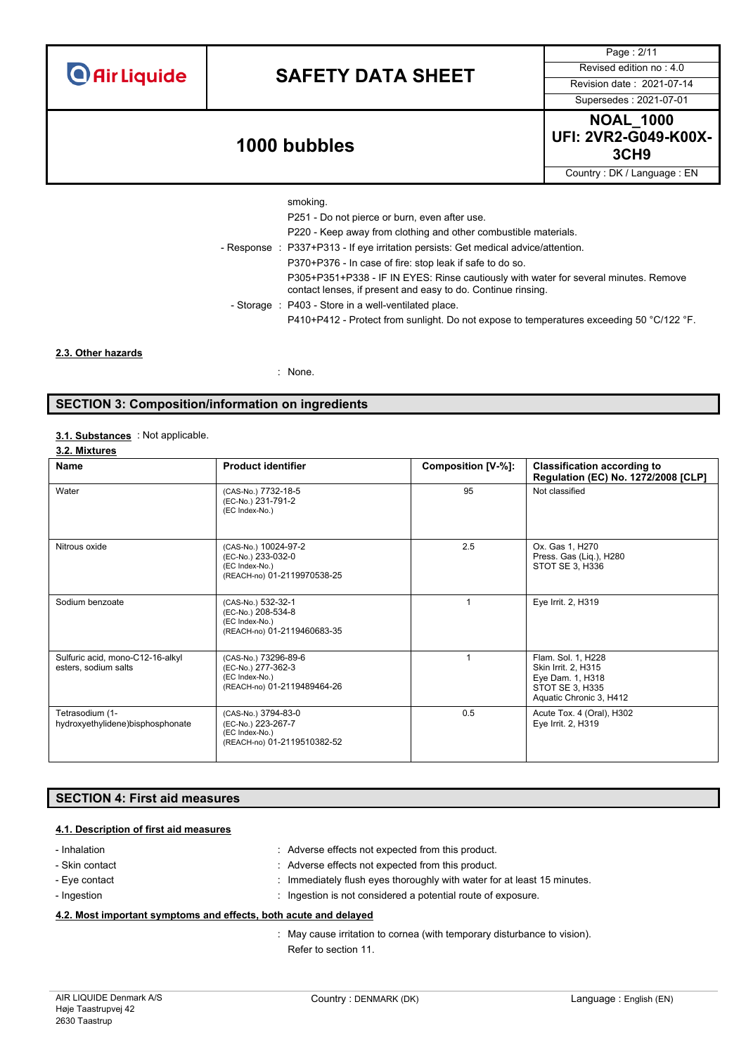| <b>O</b> Air Liquide |
|----------------------|
|----------------------|

## **SAFETY DATA SHEET** Revised edition no : 4.0

Supersedes : 2021-07-01

Page : 2/11

### **3CH9 1000 bubbles**

**NOAL\_1000 UFI: 2VR2-G049-K00X-**

Country : DK / Language : EN

- 
- smoking. P251 - Do not pierce or burn, even after use. P220 - Keep away from clothing and other combustible materials. - Response : P337+P313 - If eye irritation persists: Get medical advice/attention. P370+P376 - In case of fire: stop leak if safe to do so. P305+P351+P338 - IF IN EYES: Rinse cautiously with water for several minutes. Remove contact lenses, if present and easy to do. Continue rinsing. - Storage : P403 - Store in a well-ventilated place. P410+P412 - Protect from sunlight. Do not expose to temperatures exceeding 50 °C/122 °F.

**2.3. Other hazards**

: None.

#### **SECTION 3: Composition/information on ingredients**

#### 3.1. **Substances** : Not applicable.

**3.2. Mixtures**

| Name                                                     | <b>Product identifier</b>                                                                   | Composition [V-%]: | <b>Classification according to</b><br>Regulation (EC) No. 1272/2008 [CLP]                                   |
|----------------------------------------------------------|---------------------------------------------------------------------------------------------|--------------------|-------------------------------------------------------------------------------------------------------------|
| Water                                                    | (CAS-No.) 7732-18-5<br>(EC-No.) 231-791-2<br>(EC Index-No.)                                 | 95                 | Not classified                                                                                              |
| Nitrous oxide                                            | (CAS-No.) 10024-97-2<br>(EC-No.) 233-032-0<br>(EC Index-No.)<br>(REACH-no) 01-2119970538-25 | 2.5                | Ox. Gas 1, H270<br>Press. Gas (Lig.), H280<br>STOT SE 3, H336                                               |
| Sodium benzoate                                          | (CAS-No.) 532-32-1<br>(EC-No.) 208-534-8<br>(EC Index-No.)<br>(REACH-no) 01-2119460683-35   |                    | Eye Irrit. 2, H319                                                                                          |
| Sulfuric acid, mono-C12-16-alkyl<br>esters, sodium salts | (CAS-No.) 73296-89-6<br>(EC-No.) 277-362-3<br>(EC Index-No.)<br>(REACH-no) 01-2119489464-26 |                    | Flam. Sol. 1, H228<br>Skin Irrit. 2, H315<br>Eye Dam. 1, H318<br>STOT SE 3, H335<br>Aquatic Chronic 3, H412 |
| Tetrasodium (1-<br>hydroxyethylidene)bisphosphonate      | (CAS-No.) 3794-83-0<br>(EC-No.) 223-267-7<br>(EC Index-No.)<br>(REACH-no) 01-2119510382-52  | 0.5                | Acute Tox. 4 (Oral), H302<br>Eye Irrit. 2, H319                                                             |

#### **SECTION 4: First aid measures**

#### **4.1. Description of first aid measures**

| - Inhalation                                                     | : Adverse effects not expected from this product.                        |  |
|------------------------------------------------------------------|--------------------------------------------------------------------------|--|
| - Skin contact                                                   | : Adverse effects not expected from this product.                        |  |
| - Eye contact                                                    | : Immediately flush eyes thoroughly with water for at least 15 minutes.  |  |
| - Ingestion                                                      | : Ingestion is not considered a potential route of exposure.             |  |
| 4.2. Most important symptoms and effects, both acute and delayed |                                                                          |  |
|                                                                  | : May cause irritation to cornea (with temporary disturbance to vision). |  |

Refer to section 11.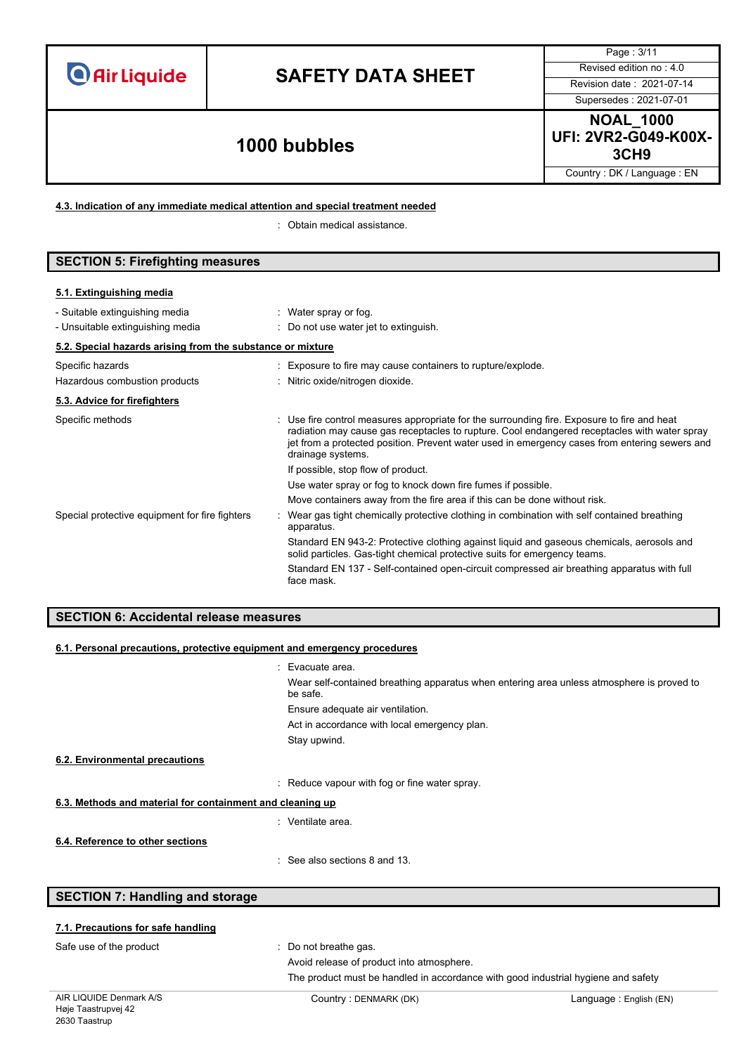# **SAFETY DATA SHEET** Revised edition no : 4.0

Supersedes : 2021-07-01

Page : 3/11

### **3CH9 1000 bubbles**

**NOAL\_1000 UFI: 2VR2-G049-K00X-**

Country : DK / Language : EN

**4.3. Indication of any immediate medical attention and special treatment needed**

: Obtain medical assistance.

| <b>SECTION 5: Firefighting measures</b>                    |                                                             |  |
|------------------------------------------------------------|-------------------------------------------------------------|--|
|                                                            |                                                             |  |
| 5.1. Extinguishing media                                   |                                                             |  |
| - Suitable extinguishing media                             | Water spray or fog.                                         |  |
| - Unsuitable extinguishing media                           | : Do not use water jet to extinguish.                       |  |
| 5.2. Special hazards arising from the substance or mixture |                                                             |  |
| Specific hazards                                           | : Exposure to fire may cause containers to rupture/explode. |  |
| Hazardous combustion products                              | : Nitric oxide/nitrogen dioxide.                            |  |

| 5.3. Advice for firefighters                   |                                                                                                                                                                                                                                                                                                                   |
|------------------------------------------------|-------------------------------------------------------------------------------------------------------------------------------------------------------------------------------------------------------------------------------------------------------------------------------------------------------------------|
| Specific methods                               | : Use fire control measures appropriate for the surrounding fire. Exposure to fire and heat<br>radiation may cause gas receptacles to rupture. Cool endangered receptacles with water spray<br>jet from a protected position. Prevent water used in emergency cases from entering sewers and<br>drainage systems. |
|                                                | If possible, stop flow of product.                                                                                                                                                                                                                                                                                |
|                                                | Use water spray or fog to knock down fire fumes if possible.                                                                                                                                                                                                                                                      |
|                                                | Move containers away from the fire area if this can be done without risk.                                                                                                                                                                                                                                         |
| Special protective equipment for fire fighters | Wear gas tight chemically protective clothing in combination with self contained breathing<br>apparatus.                                                                                                                                                                                                          |
|                                                | Standard EN 943-2: Protective clothing against liquid and gaseous chemicals, aerosols and<br>solid particles. Gas-tight chemical protective suits for emergency teams.                                                                                                                                            |

#### **SECTION 6: Accidental release measures**

| 6.1. Personal precautions, protective equipment and emergency procedures |                                                                                                       |  |  |
|--------------------------------------------------------------------------|-------------------------------------------------------------------------------------------------------|--|--|
|                                                                          | : Evacuate area.                                                                                      |  |  |
|                                                                          | Wear self-contained breathing apparatus when entering area unless atmosphere is proved to<br>be safe. |  |  |
|                                                                          | Ensure adequate air ventilation.                                                                      |  |  |
|                                                                          | Act in accordance with local emergency plan.                                                          |  |  |
|                                                                          | Stay upwind.                                                                                          |  |  |
| 6.2. Environmental precautions                                           |                                                                                                       |  |  |
|                                                                          | : Reduce vapour with fog or fine water spray.                                                         |  |  |
| 6.3. Methods and material for containment and cleaning up                |                                                                                                       |  |  |
|                                                                          | : Ventilate area.                                                                                     |  |  |
| 6.4. Reference to other sections                                         |                                                                                                       |  |  |
|                                                                          | $\therefore$ See also sections 8 and 13.                                                              |  |  |

#### **SECTION 7: Handling and storage**

#### **7.1. Precautions for safe handling**

Safe use of the product **interest in the set of the product**  $\cdot$  Do not breathe gas.

face mask.

Avoid release of product into atmosphere.

The product must be handled in accordance with good industrial hygiene and safety

Standard EN 137 - Self-contained open-circuit compressed air breathing apparatus with full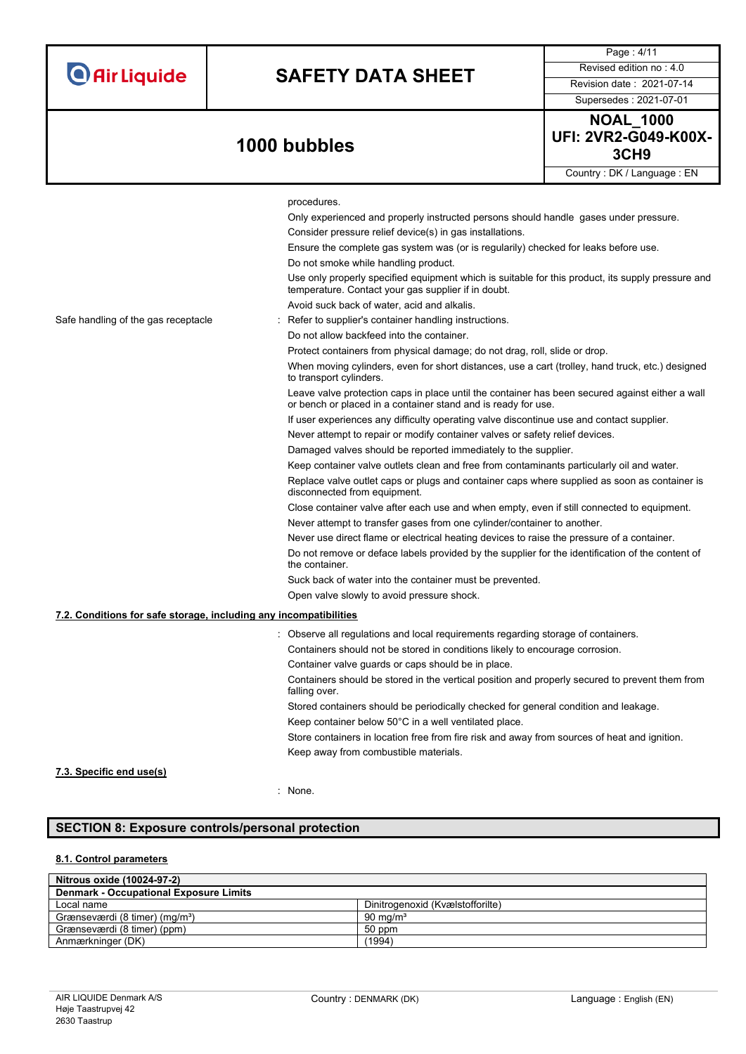# **SAFETY DATA SHEET** Revised edition no : 4.0

Supersedes : 2021-07-01

Page : 4/11

**NOAL\_1000 UFI: 2VR2-G049-K00X-3CH9 1000 bubbles** Country : DK / Language : EN

|                                                                   | procedures.                                                                                                                                                      |
|-------------------------------------------------------------------|------------------------------------------------------------------------------------------------------------------------------------------------------------------|
|                                                                   |                                                                                                                                                                  |
|                                                                   | Only experienced and properly instructed persons should handle gases under pressure.                                                                             |
|                                                                   | Consider pressure relief device(s) in gas installations.                                                                                                         |
|                                                                   | Ensure the complete gas system was (or is regularily) checked for leaks before use.                                                                              |
|                                                                   | Do not smoke while handling product.                                                                                                                             |
|                                                                   | Use only properly specified equipment which is suitable for this product, its supply pressure and<br>temperature. Contact your gas supplier if in doubt.         |
|                                                                   | Avoid suck back of water, acid and alkalis.                                                                                                                      |
| Safe handling of the gas receptacle                               | Refer to supplier's container handling instructions.                                                                                                             |
|                                                                   | Do not allow backfeed into the container.                                                                                                                        |
|                                                                   | Protect containers from physical damage; do not drag, roll, slide or drop.                                                                                       |
|                                                                   | When moving cylinders, even for short distances, use a cart (trolley, hand truck, etc.) designed<br>to transport cylinders.                                      |
|                                                                   | Leave valve protection caps in place until the container has been secured against either a wall<br>or bench or placed in a container stand and is ready for use. |
|                                                                   | If user experiences any difficulty operating valve discontinue use and contact supplier.                                                                         |
|                                                                   | Never attempt to repair or modify container valves or safety relief devices.                                                                                     |
|                                                                   | Damaged valves should be reported immediately to the supplier.                                                                                                   |
|                                                                   | Keep container valve outlets clean and free from contaminants particularly oil and water.                                                                        |
|                                                                   | Replace valve outlet caps or plugs and container caps where supplied as soon as container is<br>disconnected from equipment.                                     |
|                                                                   | Close container valve after each use and when empty, even if still connected to equipment.                                                                       |
|                                                                   | Never attempt to transfer gases from one cylinder/container to another.                                                                                          |
|                                                                   | Never use direct flame or electrical heating devices to raise the pressure of a container.                                                                       |
|                                                                   | Do not remove or deface labels provided by the supplier for the identification of the content of<br>the container.                                               |
|                                                                   | Suck back of water into the container must be prevented.                                                                                                         |
|                                                                   | Open valve slowly to avoid pressure shock.                                                                                                                       |
| 7.2. Conditions for safe storage, including any incompatibilities |                                                                                                                                                                  |
|                                                                   |                                                                                                                                                                  |
|                                                                   | : Observe all regulations and local requirements regarding storage of containers.                                                                                |
|                                                                   | Containers should not be stored in conditions likely to encourage corrosion.                                                                                     |
|                                                                   | Container valve guards or caps should be in place.                                                                                                               |
|                                                                   | Containers should be stored in the vertical position and properly secured to prevent them from<br>falling over.                                                  |
|                                                                   | Stored containers should be periodically checked for general condition and leakage.                                                                              |
|                                                                   | Keep container below 50°C in a well ventilated place.                                                                                                            |
|                                                                   | Store containers in location free from fire risk and away from sources of heat and ignition.                                                                     |
|                                                                   | Keep away from combustible materials.                                                                                                                            |
| 7.3. Specific end use(s)                                          |                                                                                                                                                                  |

: None.

### **SECTION 8: Exposure controls/personal protection**

### **8.1. Control parameters**

| Nitrous oxide (10024-97-2)                    |                                  |
|-----------------------------------------------|----------------------------------|
| <b>Denmark - Occupational Exposure Limits</b> |                                  |
| Local name                                    | Dinitrogenoxid (Kvælstofforilte) |
| Grænseværdi (8 timer) (mg/m <sup>3</sup> )    | 90 mg/m <sup>3</sup>             |
| Grænseværdi (8 timer) (ppm)                   | 50 ppm                           |
| Anmærkninger (DK)                             | (1994)                           |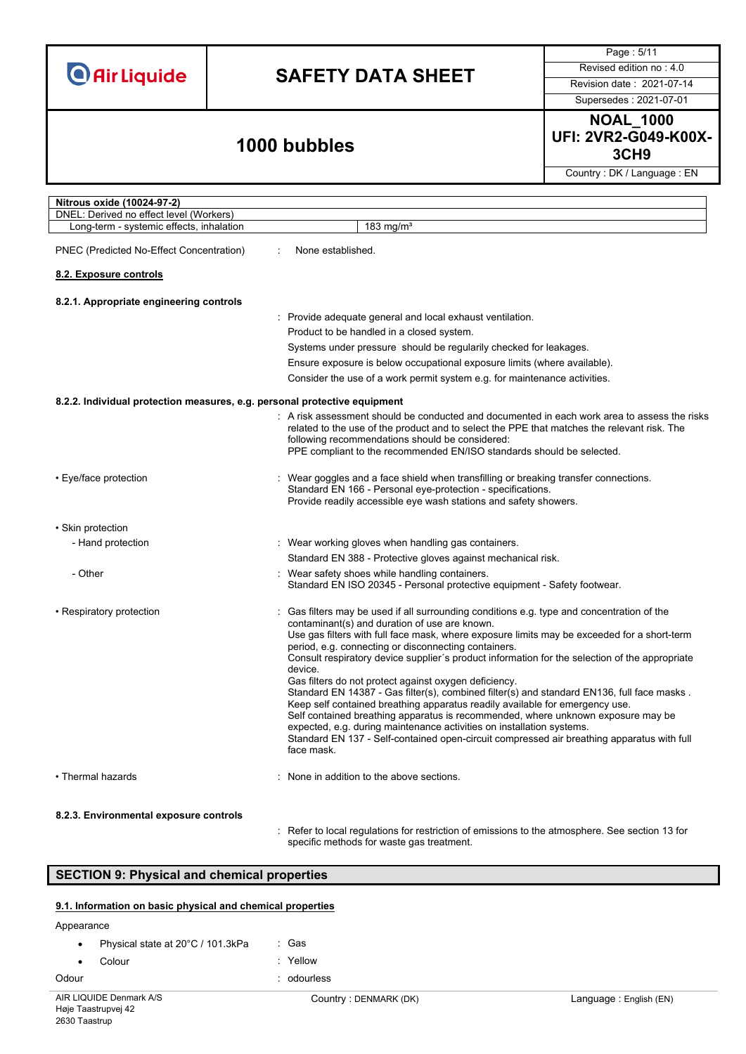# **SAFETY DATA SHEET** Revised edition no : 4.0

Page : 5/11

Supersedes : 2021-07-01

**NOAL\_1000 UFI: 2VR2-G049-K00X-3CH9 1000 bubbles**

Country : DK / Language : EN

| Nitrous oxide (10024-97-2)                                                |                                                                                                                                                                                                                                                                                                                                                                                                                                                                                                                                                                                                                                                                                                                                                                                                                                                                                                                               |
|---------------------------------------------------------------------------|-------------------------------------------------------------------------------------------------------------------------------------------------------------------------------------------------------------------------------------------------------------------------------------------------------------------------------------------------------------------------------------------------------------------------------------------------------------------------------------------------------------------------------------------------------------------------------------------------------------------------------------------------------------------------------------------------------------------------------------------------------------------------------------------------------------------------------------------------------------------------------------------------------------------------------|
| DNEL: Derived no effect level (Workers)                                   |                                                                                                                                                                                                                                                                                                                                                                                                                                                                                                                                                                                                                                                                                                                                                                                                                                                                                                                               |
| Long-term - systemic effects, inhalation                                  | 183 mg/m <sup>3</sup>                                                                                                                                                                                                                                                                                                                                                                                                                                                                                                                                                                                                                                                                                                                                                                                                                                                                                                         |
| PNEC (Predicted No-Effect Concentration)                                  | None established.                                                                                                                                                                                                                                                                                                                                                                                                                                                                                                                                                                                                                                                                                                                                                                                                                                                                                                             |
| 8.2. Exposure controls                                                    |                                                                                                                                                                                                                                                                                                                                                                                                                                                                                                                                                                                                                                                                                                                                                                                                                                                                                                                               |
| 8.2.1. Appropriate engineering controls                                   |                                                                                                                                                                                                                                                                                                                                                                                                                                                                                                                                                                                                                                                                                                                                                                                                                                                                                                                               |
|                                                                           | : Provide adequate general and local exhaust ventilation.                                                                                                                                                                                                                                                                                                                                                                                                                                                                                                                                                                                                                                                                                                                                                                                                                                                                     |
|                                                                           | Product to be handled in a closed system.                                                                                                                                                                                                                                                                                                                                                                                                                                                                                                                                                                                                                                                                                                                                                                                                                                                                                     |
|                                                                           | Systems under pressure should be regularily checked for leakages.                                                                                                                                                                                                                                                                                                                                                                                                                                                                                                                                                                                                                                                                                                                                                                                                                                                             |
|                                                                           | Ensure exposure is below occupational exposure limits (where available).                                                                                                                                                                                                                                                                                                                                                                                                                                                                                                                                                                                                                                                                                                                                                                                                                                                      |
|                                                                           | Consider the use of a work permit system e.g. for maintenance activities.                                                                                                                                                                                                                                                                                                                                                                                                                                                                                                                                                                                                                                                                                                                                                                                                                                                     |
| 8.2.2. Individual protection measures, e.g. personal protective equipment |                                                                                                                                                                                                                                                                                                                                                                                                                                                                                                                                                                                                                                                                                                                                                                                                                                                                                                                               |
|                                                                           | : A risk assessment should be conducted and documented in each work area to assess the risks<br>related to the use of the product and to select the PPE that matches the relevant risk. The<br>following recommendations should be considered:<br>PPE compliant to the recommended EN/ISO standards should be selected.                                                                                                                                                                                                                                                                                                                                                                                                                                                                                                                                                                                                       |
| • Eye/face protection                                                     | Wear goggles and a face shield when transfilling or breaking transfer connections.<br>Standard EN 166 - Personal eye-protection - specifications.<br>Provide readily accessible eye wash stations and safety showers.                                                                                                                                                                                                                                                                                                                                                                                                                                                                                                                                                                                                                                                                                                         |
| • Skin protection                                                         |                                                                                                                                                                                                                                                                                                                                                                                                                                                                                                                                                                                                                                                                                                                                                                                                                                                                                                                               |
| - Hand protection                                                         | : Wear working gloves when handling gas containers.                                                                                                                                                                                                                                                                                                                                                                                                                                                                                                                                                                                                                                                                                                                                                                                                                                                                           |
|                                                                           | Standard EN 388 - Protective gloves against mechanical risk.                                                                                                                                                                                                                                                                                                                                                                                                                                                                                                                                                                                                                                                                                                                                                                                                                                                                  |
| - Other                                                                   | Wear safety shoes while handling containers.<br>Standard EN ISO 20345 - Personal protective equipment - Safety footwear.                                                                                                                                                                                                                                                                                                                                                                                                                                                                                                                                                                                                                                                                                                                                                                                                      |
| • Respiratory protection                                                  | Gas filters may be used if all surrounding conditions e.g. type and concentration of the<br>contaminant(s) and duration of use are known.<br>Use gas filters with full face mask, where exposure limits may be exceeded for a short-term<br>period, e.g. connecting or disconnecting containers.<br>Consult respiratory device supplier's product information for the selection of the appropriate<br>device.<br>Gas filters do not protect against oxygen deficiency.<br>Standard EN 14387 - Gas filter(s), combined filter(s) and standard EN136, full face masks.<br>Keep self contained breathing apparatus readily available for emergency use.<br>Self contained breathing apparatus is recommended, where unknown exposure may be<br>expected, e.g. during maintenance activities on installation systems.<br>Standard EN 137 - Self-contained open-circuit compressed air breathing apparatus with full<br>face mask. |
| • Thermal hazards                                                         | None in addition to the above sections.                                                                                                                                                                                                                                                                                                                                                                                                                                                                                                                                                                                                                                                                                                                                                                                                                                                                                       |
| 8.2.3. Environmental exposure controls                                    |                                                                                                                                                                                                                                                                                                                                                                                                                                                                                                                                                                                                                                                                                                                                                                                                                                                                                                                               |

: Refer to local regulations for restriction of emissions to the atmosphere. See section 13 for specific methods for waste gas treatment.

#### **SECTION 9: Physical and chemical properties**

#### **9.1. Information on basic physical and chemical properties**

Appearance

- Physical state at 20°C / 101.3kPa : Gas
- Colour : Yellow
- Odour in the contract of the contract of the contract of the contract of the contract of the contract of the contract of the contract of the contract of the contract of the contract of the contract of the contract of the c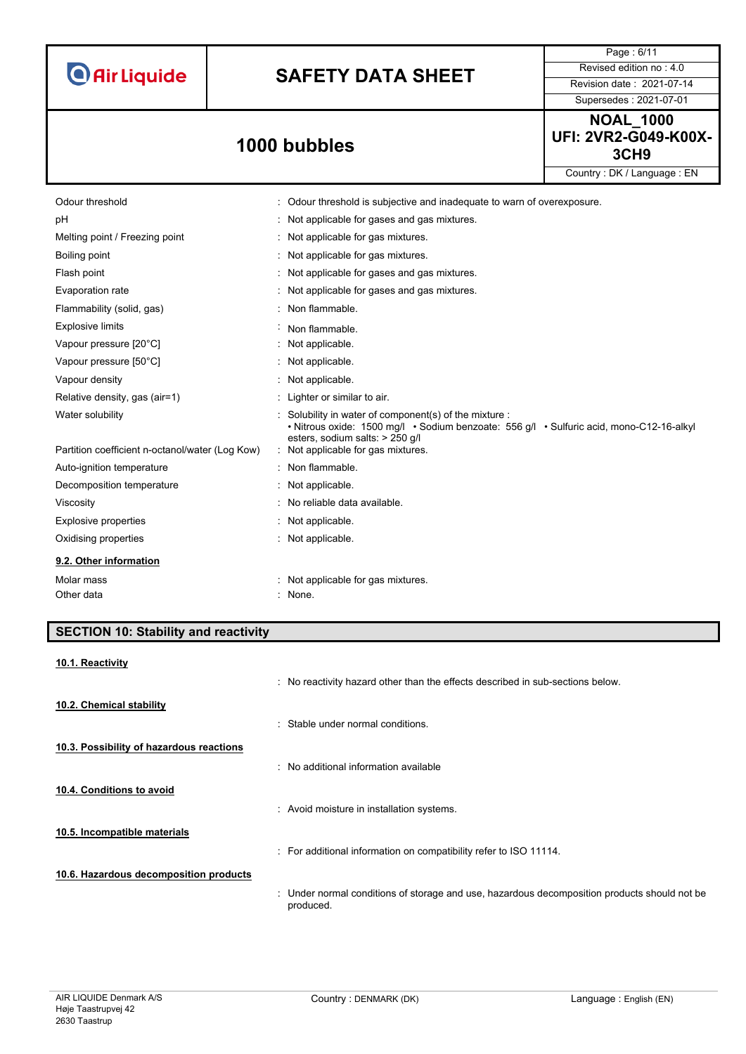

# **SAFETY DATA SHEET** Revised edition no : 4.0

Page : 6/11

Supersedes : 2021-07-01 **NOAL\_1000 UFI: 2VR2-G049-K00X-3CH9 1000 bubbles**

Country : DK / Language : EN

| Odour threshold                                 | : Odour threshold is subjective and inadequate to warn of overexposure.                                                                                                               |  |
|-------------------------------------------------|---------------------------------------------------------------------------------------------------------------------------------------------------------------------------------------|--|
| pH                                              | : Not applicable for gases and gas mixtures.                                                                                                                                          |  |
| Melting point / Freezing point                  | : Not applicable for gas mixtures.                                                                                                                                                    |  |
| Boiling point                                   | : Not applicable for gas mixtures.                                                                                                                                                    |  |
| Flash point                                     | : Not applicable for gases and gas mixtures.                                                                                                                                          |  |
| Evaporation rate                                | : Not applicable for gases and gas mixtures.                                                                                                                                          |  |
| Flammability (solid, gas)                       | : Non flammable.                                                                                                                                                                      |  |
| <b>Explosive limits</b>                         | Non flammable.                                                                                                                                                                        |  |
| Vapour pressure [20°C]                          | : Not applicable.                                                                                                                                                                     |  |
| Vapour pressure [50°C]                          | : Not applicable.                                                                                                                                                                     |  |
| Vapour density                                  | : Not applicable.                                                                                                                                                                     |  |
| Relative density, gas (air=1)                   | : Lighter or similar to air.                                                                                                                                                          |  |
| Water solubility                                | : Solubility in water of component(s) of the mixture :<br>• Nitrous oxide: 1500 mg/l • Sodium benzoate: 556 g/l • Sulfuric acid, mono-C12-16-alkyl<br>esters, sodium salts: > 250 q/l |  |
| Partition coefficient n-octanol/water (Log Kow) | : Not applicable for gas mixtures.                                                                                                                                                    |  |
| Auto-ignition temperature                       | : Non flammable.                                                                                                                                                                      |  |
| Decomposition temperature                       | : Not applicable.                                                                                                                                                                     |  |
| Viscosity                                       | : No reliable data available.                                                                                                                                                         |  |
| <b>Explosive properties</b>                     | : Not applicable.                                                                                                                                                                     |  |
| Oxidising properties                            | : Not applicable.                                                                                                                                                                     |  |
| 9.2. Other information                          |                                                                                                                                                                                       |  |
| Molar mass                                      | Not applicable for gas mixtures.                                                                                                                                                      |  |
| Other data                                      | : None.                                                                                                                                                                               |  |

#### **SECTION 10: Stability and reactivity**

| 10.1. Reactivity                         |                                                                                                           |
|------------------------------------------|-----------------------------------------------------------------------------------------------------------|
|                                          | : No reactivity hazard other than the effects described in sub-sections below.                            |
| 10.2. Chemical stability                 |                                                                                                           |
|                                          | Stable under normal conditions.                                                                           |
| 10.3. Possibility of hazardous reactions |                                                                                                           |
|                                          | : No additional information available                                                                     |
| 10.4. Conditions to avoid                |                                                                                                           |
|                                          | : Avoid moisture in installation systems.                                                                 |
| 10.5. Incompatible materials             |                                                                                                           |
|                                          | : For additional information on compatibility refer to ISO 11114.                                         |
| 10.6. Hazardous decomposition products   |                                                                                                           |
|                                          | : Under normal conditions of storage and use, hazardous decomposition products should not be<br>produced. |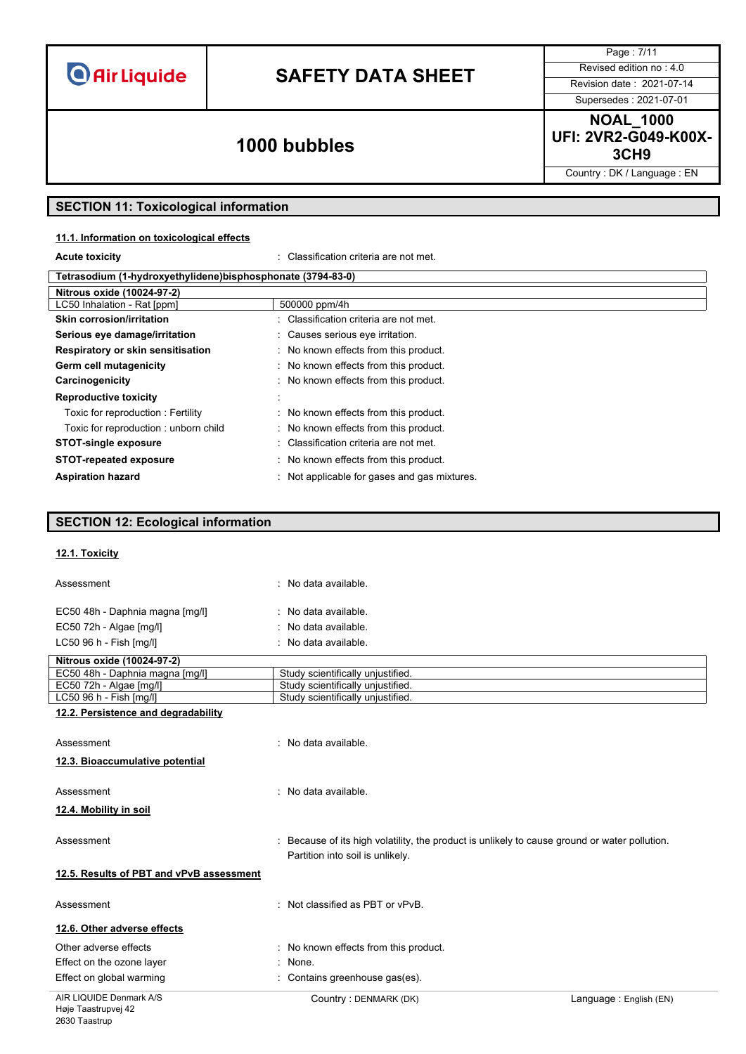# **SAFETY DATA SHEET** Revised edition no : 4.0

Supersedes : 2021-07-01

Page : 7/11

**NOAL\_1000 UFI: 2VR2-G049-K00X-3CH9 1000 bubbles**

Country : DK / Language : EN

### **SECTION 11: Toxicological information**

#### **11.1. Information on toxicological effects**

**Acute toxicity** : Classification criteria are not met.

| Tetrasodium (1-hydroxyethylidene)bisphosphonate (3794-83-0) |                                              |  |
|-------------------------------------------------------------|----------------------------------------------|--|
| Nitrous oxide (10024-97-2)                                  |                                              |  |
| LC50 Inhalation - Rat [ppm]                                 | 500000 ppm/4h                                |  |
| Skin corrosion/irritation                                   | : Classification criteria are not met.       |  |
| Serious eye damage/irritation                               | : Causes serious eye irritation.             |  |
| Respiratory or skin sensitisation                           | : No known effects from this product.        |  |
| Germ cell mutagenicity                                      | : No known effects from this product.        |  |
| Carcinogenicity                                             | : No known effects from this product.        |  |
| <b>Reproductive toxicity</b>                                |                                              |  |
| Toxic for reproduction: Fertility                           | : No known effects from this product.        |  |
| Toxic for reproduction: unborn child                        | : No known effects from this product.        |  |
| <b>STOT-single exposure</b>                                 | : Classification criteria are not met.       |  |
| <b>STOT-repeated exposure</b>                               | : No known effects from this product.        |  |
| <b>Aspiration hazard</b>                                    | : Not applicable for gases and gas mixtures. |  |

#### **SECTION 12: Ecological information**

#### **12.1. Toxicity**

| Assessment                               | : No data available.                                                                                                              |                        |
|------------------------------------------|-----------------------------------------------------------------------------------------------------------------------------------|------------------------|
| EC50 48h - Daphnia magna [mg/l]          | : No data available.                                                                                                              |                        |
| EC50 72h - Algae [mg/l]                  | No data available.                                                                                                                |                        |
| LC50 96 h - Fish [mg/l]                  | : No data available.                                                                                                              |                        |
| Nitrous oxide (10024-97-2)               |                                                                                                                                   |                        |
| EC50 48h - Daphnia magna [mg/l]          | Study scientifically unjustified.                                                                                                 |                        |
| EC50 72h - Algae [mg/l]                  | Study scientifically unjustified.                                                                                                 |                        |
| LC50 96 h - Fish [mg/l]                  | Study scientifically unjustified.                                                                                                 |                        |
| 12.2. Persistence and degradability      |                                                                                                                                   |                        |
| Assessment                               | : No data available.                                                                                                              |                        |
| 12.3. Bioaccumulative potential          |                                                                                                                                   |                        |
| Assessment                               | : No data available.                                                                                                              |                        |
| 12.4. Mobility in soil                   |                                                                                                                                   |                        |
| Assessment                               | : Because of its high volatility, the product is unlikely to cause ground or water pollution.<br>Partition into soil is unlikely. |                        |
| 12.5. Results of PBT and vPvB assessment |                                                                                                                                   |                        |
| Assessment                               | : Not classified as PBT or vPvB.                                                                                                  |                        |
| 12.6. Other adverse effects              |                                                                                                                                   |                        |
| Other adverse effects                    | : No known effects from this product.                                                                                             |                        |
| Effect on the ozone layer                | None.                                                                                                                             |                        |
| Effect on global warming                 | Contains greenhouse gas(es).                                                                                                      |                        |
| AIR LIQUIDE Denmark A/S                  | Country: DENMARK (DK)                                                                                                             | Language: English (EN) |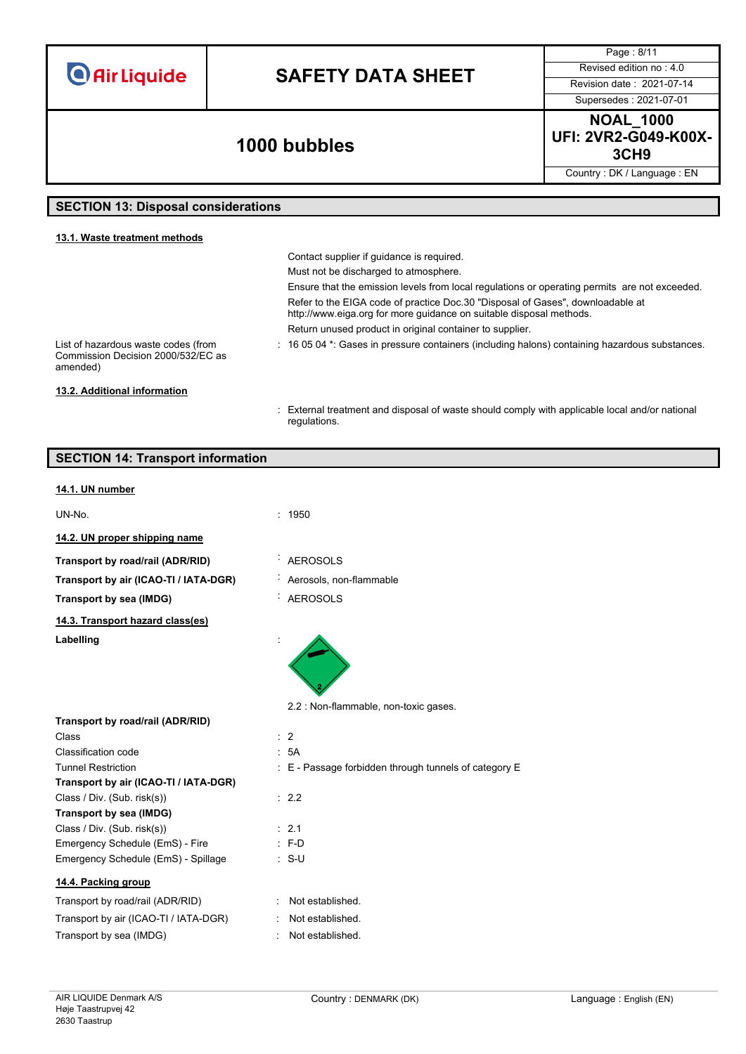## **SAFETY DATA SHEET** Revised edition no : 4.0

Supersedes : 2021-07-01

Page : 8/11

### **3CH9 1000 bubbles**

regulations.

**NOAL\_1000 UFI: 2VR2-G049-K00X-**

Country : DK / Language : EN

#### **SECTION 13: Disposal considerations**

#### **13.1. Waste treatment methods** Contact supplier if guidance is required. Must not be discharged to atmosphere. Ensure that the emission levels from local regulations or operating permits are not exceeded. Refer to the EIGA code of practice Doc.30 "Disposal of Gases", downloadable at http://www.eiga.org for more guidance on suitable disposal methods. Return unused product in original container to supplier. List of hazardous waste codes (from Commission Decision 2000/532/EC as amended) : 16 05 04 \*: Gases in pressure containers (including halons) containing hazardous substances. **13.2. Additional information** : External treatment and disposal of waste should comply with applicable local and/or national

| <b>SECTION 14: Transport information</b>  |                                                       |
|-------------------------------------------|-------------------------------------------------------|
| 14.1. UN number                           |                                                       |
| UN-No.                                    | : 1950                                                |
| 14.2. UN proper shipping name             |                                                       |
| Transport by road/rail (ADR/RID)          | <b>AEROSOLS</b>                                       |
| Transport by air (ICAO-TI / IATA-DGR)     | Aerosols, non-flammable                               |
| Transport by sea (IMDG)                   | <b>AEROSOLS</b>                                       |
| 14.3. Transport hazard class(es)          |                                                       |
| Labelling                                 |                                                       |
|                                           | 2.2 : Non-flammable, non-toxic gases.                 |
| Transport by road/rail (ADR/RID)<br>Class | $\therefore$ 2                                        |
| Classification code                       | : 5A                                                  |
| <b>Tunnel Restriction</b>                 | : E - Passage forbidden through tunnels of category E |
| Transport by air (ICAO-TI / IATA-DGR)     |                                                       |
| Class / Div. (Sub. risk(s))               | : 2.2                                                 |
| Transport by sea (IMDG)                   |                                                       |
| Class / Div. (Sub. risk(s))               | $\therefore$ 2.1                                      |
| Emergency Schedule (EmS) - Fire           | $: F-D$                                               |
| Emergency Schedule (EmS) - Spillage       | $: S-U$                                               |
| 14.4. Packing group                       |                                                       |
| Transport by road/rail (ADR/RID)          | : Not established.                                    |
| Transport by air (ICAO-TI / IATA-DGR)     | Not established.                                      |
| Transport by sea (IMDG)                   | : Not established.                                    |
|                                           |                                                       |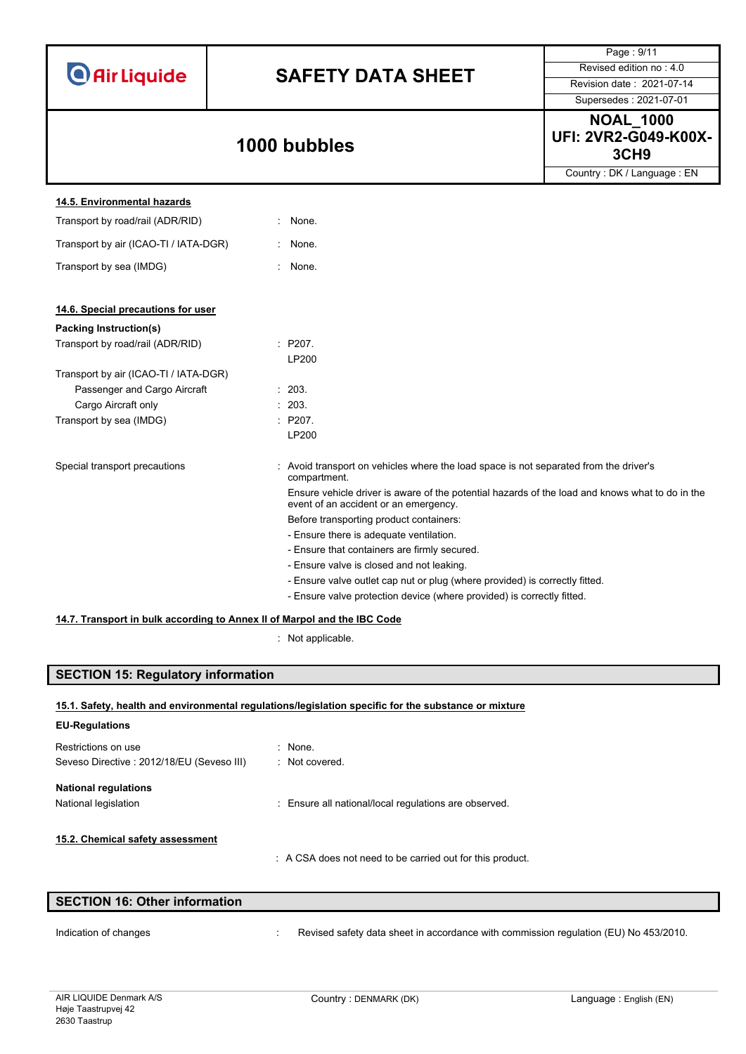|                                                                          |                                                                                                                                          | Page: 9/11                                                   |
|--------------------------------------------------------------------------|------------------------------------------------------------------------------------------------------------------------------------------|--------------------------------------------------------------|
| <b>O</b> Air Liquide                                                     |                                                                                                                                          | Revised edition no: 4.0                                      |
|                                                                          | <b>SAFETY DATA SHEET</b>                                                                                                                 | Revision date: 2021-07-14                                    |
|                                                                          |                                                                                                                                          | Supersedes: 2021-07-01                                       |
|                                                                          | 1000 bubbles                                                                                                                             | <b>NOAL_1000</b><br>UFI: 2VR2-G049-K00X-<br>3CH <sub>9</sub> |
|                                                                          |                                                                                                                                          | Country: DK / Language: EN                                   |
| 14.5. Environmental hazards                                              |                                                                                                                                          |                                                              |
| Transport by road/rail (ADR/RID)                                         | : None.                                                                                                                                  |                                                              |
| Transport by air (ICAO-TI / IATA-DGR)                                    | None.                                                                                                                                    |                                                              |
| Transport by sea (IMDG)                                                  | None.                                                                                                                                    |                                                              |
|                                                                          |                                                                                                                                          |                                                              |
| 14.6. Special precautions for user                                       |                                                                                                                                          |                                                              |
| <b>Packing Instruction(s)</b>                                            |                                                                                                                                          |                                                              |
| Transport by road/rail (ADR/RID)                                         | : P207.<br>LP200                                                                                                                         |                                                              |
| Transport by air (ICAO-TI / IATA-DGR)                                    |                                                                                                                                          |                                                              |
| Passenger and Cargo Aircraft                                             | : 203.                                                                                                                                   |                                                              |
| Cargo Aircraft only                                                      | 203.                                                                                                                                     |                                                              |
| Transport by sea (IMDG)                                                  | : P207.                                                                                                                                  |                                                              |
|                                                                          | LP200                                                                                                                                    |                                                              |
| Special transport precautions                                            | Avoid transport on vehicles where the load space is not separated from the driver's<br>compartment.                                      |                                                              |
|                                                                          | Ensure vehicle driver is aware of the potential hazards of the load and knows what to do in the<br>event of an accident or an emergency. |                                                              |
|                                                                          | Before transporting product containers:                                                                                                  |                                                              |
|                                                                          | - Ensure there is adequate ventilation.                                                                                                  |                                                              |
|                                                                          | - Ensure that containers are firmly secured.                                                                                             |                                                              |
|                                                                          | - Ensure valve is closed and not leaking.                                                                                                |                                                              |
|                                                                          | - Ensure valve outlet cap nut or plug (where provided) is correctly fitted.                                                              |                                                              |
|                                                                          | - Ensure valve protection device (where provided) is correctly fitted.                                                                   |                                                              |
| 14.7. Transport in bulk according to Annex II of Marpol and the IBC Code |                                                                                                                                          |                                                              |

: Not applicable.

### **SECTION 15: Regulatory information**

|  | 15.1. Safety, health and environmental regulations/legislation specific for the substance or mixture |  |
|--|------------------------------------------------------------------------------------------------------|--|
|--|------------------------------------------------------------------------------------------------------|--|

### **EU-Regulations** Restrictions on use the state of the state of the Restrictions on use Seveso Directive : 2012/18/EU (Seveso III) : Not covered. **National regulations** National legislation **interest and the Community Community** Ensure all national/local regulations are observed. **15.2. Chemical safety assessment** : A CSA does not need to be carried out for this product.

| <b>SECTION 16: Other information</b> |  |
|--------------------------------------|--|
|                                      |  |

Indication of changes **interval of the COV**: Revised safety data sheet in accordance with commission regulation (EU) No 453/2010.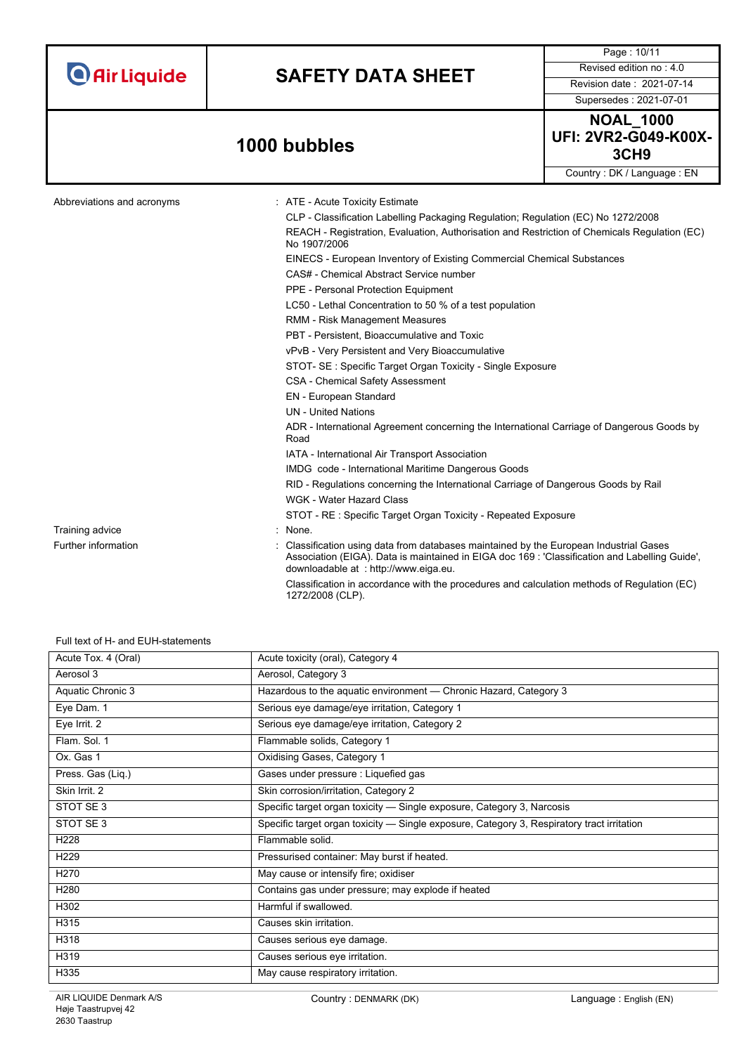|                            |                                                                                                                                                                                                                                                                                                                                                                                                                                                                                                                                                                                                                                                                | Page: 10/11                                                         |
|----------------------------|----------------------------------------------------------------------------------------------------------------------------------------------------------------------------------------------------------------------------------------------------------------------------------------------------------------------------------------------------------------------------------------------------------------------------------------------------------------------------------------------------------------------------------------------------------------------------------------------------------------------------------------------------------------|---------------------------------------------------------------------|
|                            |                                                                                                                                                                                                                                                                                                                                                                                                                                                                                                                                                                                                                                                                | Revised edition no: 4.0                                             |
| <b>O</b> Air Liquide       | <b>SAFETY DATA SHEET</b>                                                                                                                                                                                                                                                                                                                                                                                                                                                                                                                                                                                                                                       |                                                                     |
|                            |                                                                                                                                                                                                                                                                                                                                                                                                                                                                                                                                                                                                                                                                | Revision date: 2021-07-14                                           |
|                            |                                                                                                                                                                                                                                                                                                                                                                                                                                                                                                                                                                                                                                                                | Supersedes: 2021-07-01                                              |
|                            | 1000 bubbles                                                                                                                                                                                                                                                                                                                                                                                                                                                                                                                                                                                                                                                   | <b>NOAL_1000</b><br><b>UFI: 2VR2-G049-K00X-</b><br>3CH <sub>9</sub> |
|                            |                                                                                                                                                                                                                                                                                                                                                                                                                                                                                                                                                                                                                                                                | Country: DK / Language: EN                                          |
| Abbreviations and acronyms | : ATE - Acute Toxicity Estimate<br>CLP - Classification Labelling Packaging Regulation; Regulation (EC) No 1272/2008<br>REACH - Registration, Evaluation, Authorisation and Restriction of Chemicals Regulation (EC)<br>No 1907/2006<br>EINECS - European Inventory of Existing Commercial Chemical Substances<br>CAS# - Chemical Abstract Service number<br>PPE - Personal Protection Equipment<br>LC50 - Lethal Concentration to 50 % of a test population<br>RMM - Risk Management Measures<br>PBT - Persistent, Bioaccumulative and Toxic<br>vPvB - Very Persistent and Very Bioaccumulative<br>STOT- SE: Specific Target Organ Toxicity - Single Exposure |                                                                     |
|                            | <b>CSA - Chemical Safety Assessment</b><br>EN - European Standard                                                                                                                                                                                                                                                                                                                                                                                                                                                                                                                                                                                              |                                                                     |
|                            | <b>UN</b> - United Nations<br>ADR - International Agreement concerning the International Carriage of Dangerous Goods by<br>Road                                                                                                                                                                                                                                                                                                                                                                                                                                                                                                                                |                                                                     |
|                            | IATA - International Air Transport Association                                                                                                                                                                                                                                                                                                                                                                                                                                                                                                                                                                                                                 |                                                                     |
|                            | IMDG code - International Maritime Dangerous Goods                                                                                                                                                                                                                                                                                                                                                                                                                                                                                                                                                                                                             |                                                                     |
|                            | RID - Regulations concerning the International Carriage of Dangerous Goods by Rail<br><b>WGK - Water Hazard Class</b>                                                                                                                                                                                                                                                                                                                                                                                                                                                                                                                                          |                                                                     |
|                            | STOT - RE : Specific Target Organ Toxicity - Repeated Exposure                                                                                                                                                                                                                                                                                                                                                                                                                                                                                                                                                                                                 |                                                                     |
| Training advice            | : None.                                                                                                                                                                                                                                                                                                                                                                                                                                                                                                                                                                                                                                                        |                                                                     |
| Further information        | Classification using data from databases maintained by the European Industrial Gases<br>Association (EIGA). Data is maintained in EIGA doc 169 : 'Classification and Labelling Guide',<br>downloadable at : http://www.eiga.eu.                                                                                                                                                                                                                                                                                                                                                                                                                                |                                                                     |
|                            | Classification in accordance with the procedures and calculation methods of Regulation (EC)<br>1272/2008 (CLP).                                                                                                                                                                                                                                                                                                                                                                                                                                                                                                                                                |                                                                     |

#### Full text of H- and EUH-statements

| Acute Tox. 4 (Oral) | Acute toxicity (oral), Category 4                                                          |
|---------------------|--------------------------------------------------------------------------------------------|
| Aerosol 3           | Aerosol, Category 3                                                                        |
| Aquatic Chronic 3   | Hazardous to the aquatic environment - Chronic Hazard, Category 3                          |
| Eye Dam. 1          | Serious eye damage/eye irritation, Category 1                                              |
| Eye Irrit. 2        | Serious eye damage/eye irritation, Category 2                                              |
| Flam. Sol. 1        | Flammable solids, Category 1                                                               |
| Ox. Gas 1           | Oxidising Gases, Category 1                                                                |
| Press. Gas (Liq.)   | Gases under pressure : Liquefied gas                                                       |
| Skin Irrit. 2       | Skin corrosion/irritation, Category 2                                                      |
| STOT SE3            | Specific target organ toxicity — Single exposure, Category 3, Narcosis                     |
| STOT SE3            | Specific target organ toxicity — Single exposure, Category 3, Respiratory tract irritation |
| H <sub>228</sub>    | Flammable solid.                                                                           |
| H229                | Pressurised container: May burst if heated.                                                |
| H <sub>270</sub>    | May cause or intensify fire; oxidiser                                                      |
| H <sub>280</sub>    | Contains gas under pressure; may explode if heated                                         |
| H302                | Harmful if swallowed.                                                                      |
| H315                | Causes skin irritation.                                                                    |
| H318                | Causes serious eye damage.                                                                 |
| H319                | Causes serious eye irritation.                                                             |
| H335                | May cause respiratory irritation.                                                          |